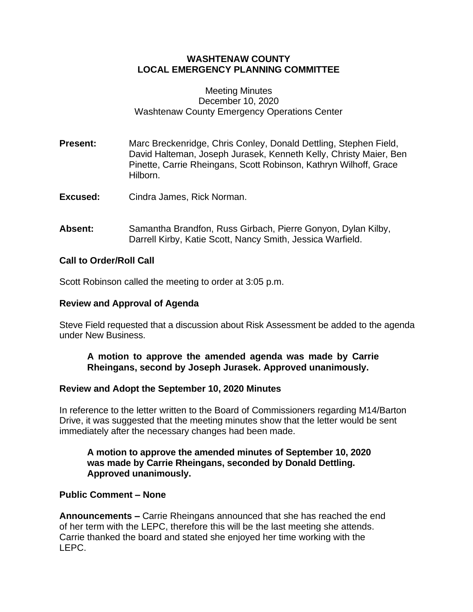# **WASHTENAW COUNTY LOCAL EMERGENCY PLANNING COMMITTEE**

### Meeting Minutes December 10, 2020 Washtenaw County Emergency Operations Center

- **Present:** Marc Breckenridge, Chris Conley, Donald Dettling, Stephen Field, David Halteman, Joseph Jurasek, Kenneth Kelly, Christy Maier, Ben Pinette, Carrie Rheingans, Scott Robinson, Kathryn Wilhoff, Grace Hilborn.
- **Excused:** Cindra James, Rick Norman.
- **Absent:** Samantha Brandfon, Russ Girbach, Pierre Gonyon, Dylan Kilby, Darrell Kirby, Katie Scott, Nancy Smith, Jessica Warfield.

## **Call to Order/Roll Call**

Scott Robinson called the meeting to order at 3:05 p.m.

### **Review and Approval of Agenda**

Steve Field requested that a discussion about Risk Assessment be added to the agenda under New Business.

## **A motion to approve the amended agenda was made by Carrie Rheingans, second by Joseph Jurasek. Approved unanimously.**

#### **Review and Adopt the September 10, 2020 Minutes**

In reference to the letter written to the Board of Commissioners regarding M14/Barton Drive, it was suggested that the meeting minutes show that the letter would be sent immediately after the necessary changes had been made.

## **A motion to approve the amended minutes of September 10, 2020 was made by Carrie Rheingans, seconded by Donald Dettling. Approved unanimously.**

#### **Public Comment – None**

**Announcements –** Carrie Rheingans announced that she has reached the end of her term with the LEPC, therefore this will be the last meeting she attends. Carrie thanked the board and stated she enjoyed her time working with the LEPC.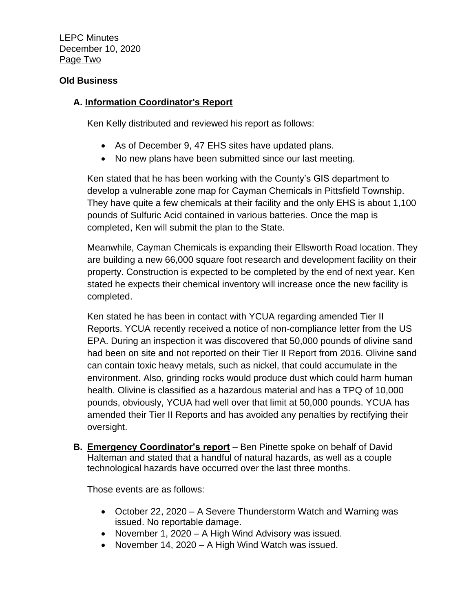LEPC Minutes December 10, 2020 Page Two

## **Old Business**

# **A. Information Coordinator's Report**

Ken Kelly distributed and reviewed his report as follows:

- As of December 9, 47 EHS sites have updated plans.
- No new plans have been submitted since our last meeting.

Ken stated that he has been working with the County's GIS department to develop a vulnerable zone map for Cayman Chemicals in Pittsfield Township. They have quite a few chemicals at their facility and the only EHS is about 1,100 pounds of Sulfuric Acid contained in various batteries. Once the map is completed, Ken will submit the plan to the State.

Meanwhile, Cayman Chemicals is expanding their Ellsworth Road location. They are building a new 66,000 square foot research and development facility on their property. Construction is expected to be completed by the end of next year. Ken stated he expects their chemical inventory will increase once the new facility is completed.

Ken stated he has been in contact with YCUA regarding amended Tier II Reports. YCUA recently received a notice of non-compliance letter from the US EPA. During an inspection it was discovered that 50,000 pounds of olivine sand had been on site and not reported on their Tier II Report from 2016. Olivine sand can contain toxic heavy metals, such as nickel, that could accumulate in the environment. Also, grinding rocks would produce dust which could harm human health. Olivine is classified as a hazardous material and has a TPQ of 10,000 pounds, obviously, YCUA had well over that limit at 50,000 pounds. YCUA has amended their Tier II Reports and has avoided any penalties by rectifying their oversight.

**B. Emergency Coordinator's report** – Ben Pinette spoke on behalf of David Halteman and stated that a handful of natural hazards, as well as a couple technological hazards have occurred over the last three months.

Those events are as follows:

- October 22, 2020 A Severe Thunderstorm Watch and Warning was issued. No reportable damage.
- November 1, 2020 A High Wind Advisory was issued.
- November 14, 2020 A High Wind Watch was issued.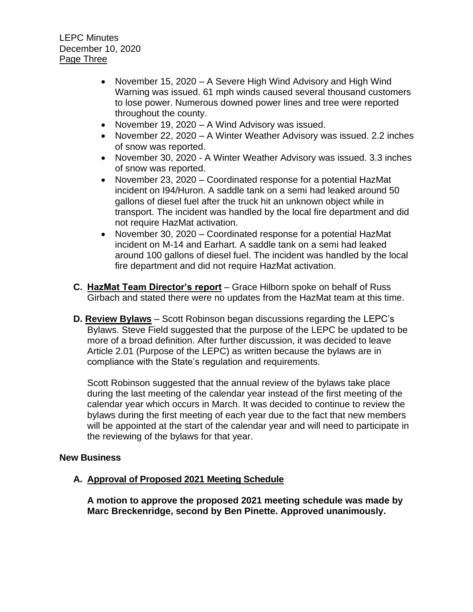- November 15, 2020 A Severe High Wind Advisory and High Wind Warning was issued. 61 mph winds caused several thousand customers to lose power. Numerous downed power lines and tree were reported throughout the county.
- November 19, 2020 A Wind Advisory was issued.
- November 22, 2020 A Winter Weather Advisory was issued. 2.2 inches of snow was reported.
- November 30, 2020 A Winter Weather Advisory was issued. 3.3 inches of snow was reported.
- November 23, 2020 Coordinated response for a potential HazMat incident on I94/Huron. A saddle tank on a semi had leaked around 50 gallons of diesel fuel after the truck hit an unknown object while in transport. The incident was handled by the local fire department and did not require HazMat activation.
- November 30, 2020 Coordinated response for a potential HazMat incident on M-14 and Earhart. A saddle tank on a semi had leaked around 100 gallons of diesel fuel. The incident was handled by the local fire department and did not require HazMat activation.
- **C. HazMat Team Director's report** Grace Hilborn spoke on behalf of Russ Girbach and stated there were no updates from the HazMat team at this time.
- **D. Review Bylaws** Scott Robinson began discussions regarding the LEPC's Bylaws. Steve Field suggested that the purpose of the LEPC be updated to be more of a broad definition. After further discussion, it was decided to leave Article 2.01 (Purpose of the LEPC) as written because the bylaws are in compliance with the State's regulation and requirements.

Scott Robinson suggested that the annual review of the bylaws take place during the last meeting of the calendar year instead of the first meeting of the calendar year which occurs in March. It was decided to continue to review the bylaws during the first meeting of each year due to the fact that new members will be appointed at the start of the calendar year and will need to participate in the reviewing of the bylaws for that year.

## **New Business**

## **A. Approval of Proposed 2021 Meeting Schedule**

**A motion to approve the proposed 2021 meeting schedule was made by Marc Breckenridge, second by Ben Pinette. Approved unanimously.**